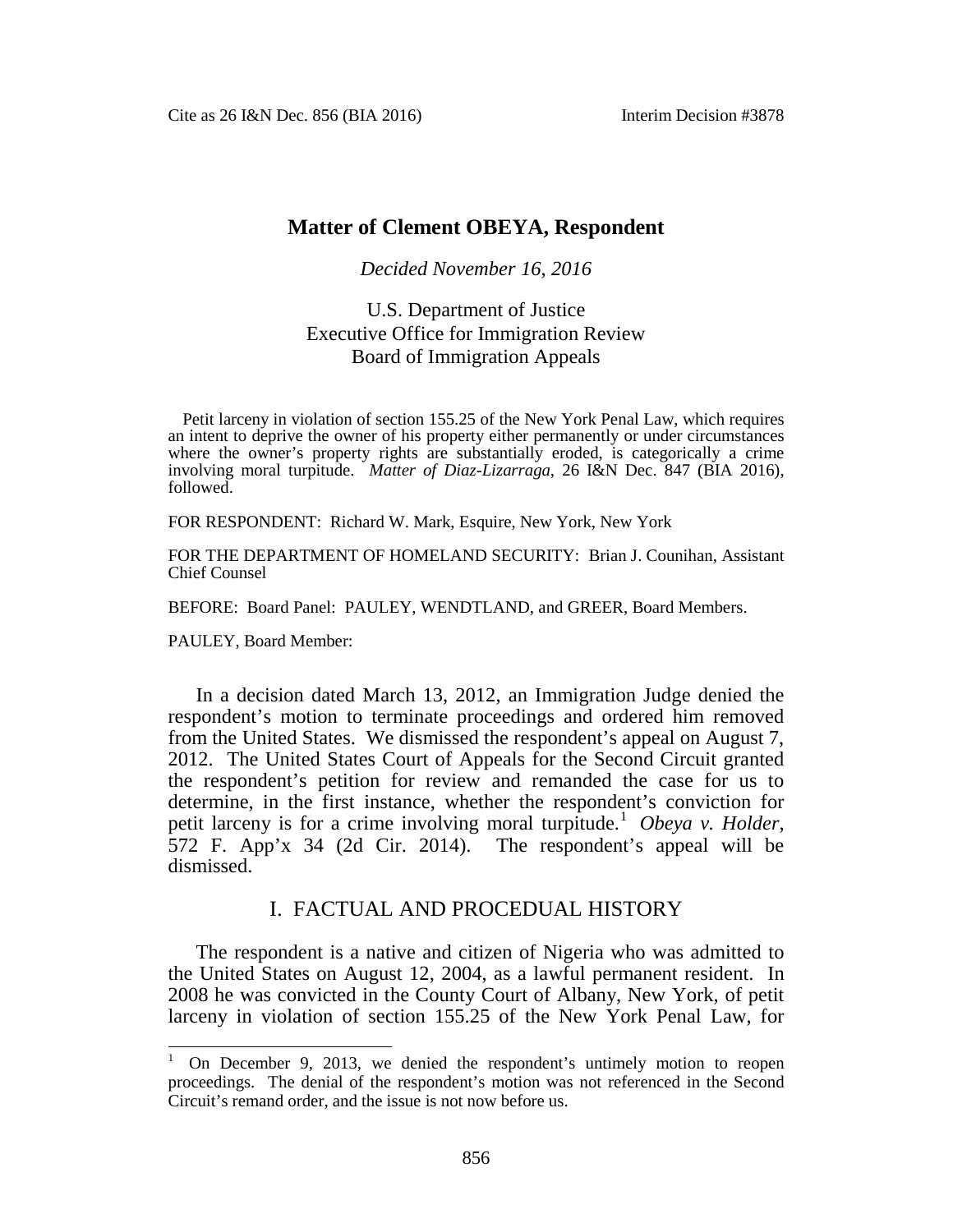# **Matter of Clement OBEYA, Respondent**

#### *Decided November 16, 2016*

# U.S. Department of Justice Executive Office for Immigration Review Board of Immigration Appeals

Petit larceny in violation of section 155.25 of the New York Penal Law, which requires an intent to deprive the owner of his property either permanently or under circumstances where the owner's property rights are substantially eroded, is categorically a crime involving moral turpitude. *Matter of Diaz-Lizarraga*, 26 I&N Dec. 847 (BIA 2016), followed.

FOR RESPONDENT: Richard W. Mark, Esquire, New York, New York

FOR THE DEPARTMENT OF HOMELAND SECURITY: Brian J. Counihan, Assistant Chief Counsel

BEFORE: Board Panel: PAULEY, WENDTLAND, and GREER, Board Members.

PAULEY, Board Member:

In a decision dated March 13, 2012, an Immigration Judge denied the respondent's motion to terminate proceedings and ordered him removed from the United States. We dismissed the respondent's appeal on August 7, 2012. The United States Court of Appeals for the Second Circuit granted the respondent's petition for review and remanded the case for us to determine, in the first instance, whether the respondent's conviction for petit larceny is for a crime involving moral turpitude. [1](#page-0-0) *Obeya v. Holder*, 572 F. App'x 34 (2d Cir. 2014). The respondent's appeal will be dismissed.

## I. FACTUAL AND PROCEDUAL HISTORY

The respondent is a native and citizen of Nigeria who was admitted to the United States on August 12, 2004, as a lawful permanent resident. In 2008 he was convicted in the County Court of Albany, New York, of petit larceny in violation of section 155.25 of the New York Penal Law, for

<span id="page-0-0"></span><sup>&</sup>lt;sup>1</sup> On December 9, 2013, we denied the respondent's untimely motion to reopen proceedings. The denial of the respondent's motion was not referenced in the Second Circuit's remand order, and the issue is not now before us.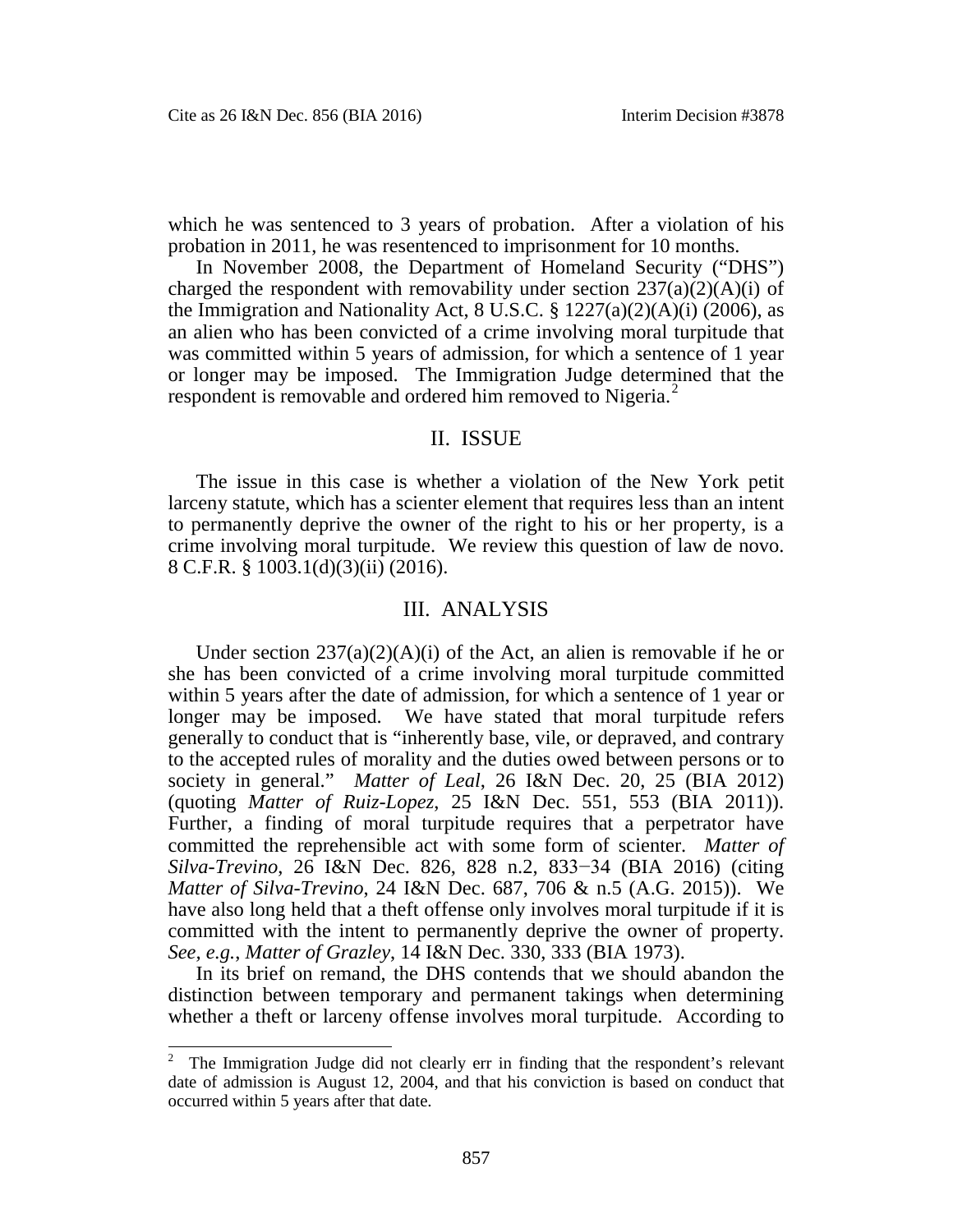which he was sentenced to 3 years of probation. After a violation of his probation in 2011, he was resentenced to imprisonment for 10 months.

In November 2008, the Department of Homeland Security ("DHS") charged the respondent with removability under section  $237(a)(2)(A)(i)$  of the Immigration and Nationality Act,  $8 \text{ U.S.C.}$   $\frac{8}{3} \frac{1227(a)(2)(A)(i)}{2006}$ , as an alien who has been convicted of a crime involving moral turpitude that was committed within 5 years of admission, for which a sentence of 1 year or longer may be imposed. The Immigration Judge determined that the respondent is removable and ordered him removed to Nigeria. $<sup>2</sup>$  $<sup>2</sup>$  $<sup>2</sup>$ </sup>

## II. ISSUE

The issue in this case is whether a violation of the New York petit larceny statute, which has a scienter element that requires less than an intent to permanently deprive the owner of the right to his or her property, is a crime involving moral turpitude. We review this question of law de novo. 8 C.F.R. § 1003.1(d)(3)(ii) (2016).

#### III. ANALYSIS

Under section  $237(a)(2)(A)(i)$  of the Act, an alien is removable if he or she has been convicted of a crime involving moral turpitude committed within 5 years after the date of admission, for which a sentence of 1 year or longer may be imposed. We have stated that moral turpitude refers generally to conduct that is "inherently base, vile, or depraved, and contrary to the accepted rules of morality and the duties owed between persons or to society in general." *Matter of Leal*, 26 I&N Dec. 20, 25 (BIA 2012) (quoting *Matter of Ruiz-Lopez*, 25 I&N Dec. 551, 553 (BIA 2011)). Further, a finding of moral turpitude requires that a perpetrator have committed the reprehensible act with some form of scienter. *Matter of Silva-Trevino*, 26 I&N Dec. 826, 828 n.2, 833−34 (BIA 2016) (citing *Matter of Silva-Trevino*, 24 I&N Dec. 687, 706 & n.5 (A.G. 2015)). We have also long held that a theft offense only involves moral turpitude if it is committed with the intent to permanently deprive the owner of property. *See, e.g.*, *Matter of Grazley*, 14 I&N Dec. 330, 333 (BIA 1973).

In its brief on remand, the DHS contends that we should abandon the distinction between temporary and permanent takings when determining whether a theft or larceny offense involves moral turpitude. According to

<span id="page-1-0"></span><sup>&</sup>lt;sup>2</sup> The Immigration Judge did not clearly err in finding that the respondent's relevant date of admission is August 12, 2004, and that his conviction is based on conduct that occurred within 5 years after that date.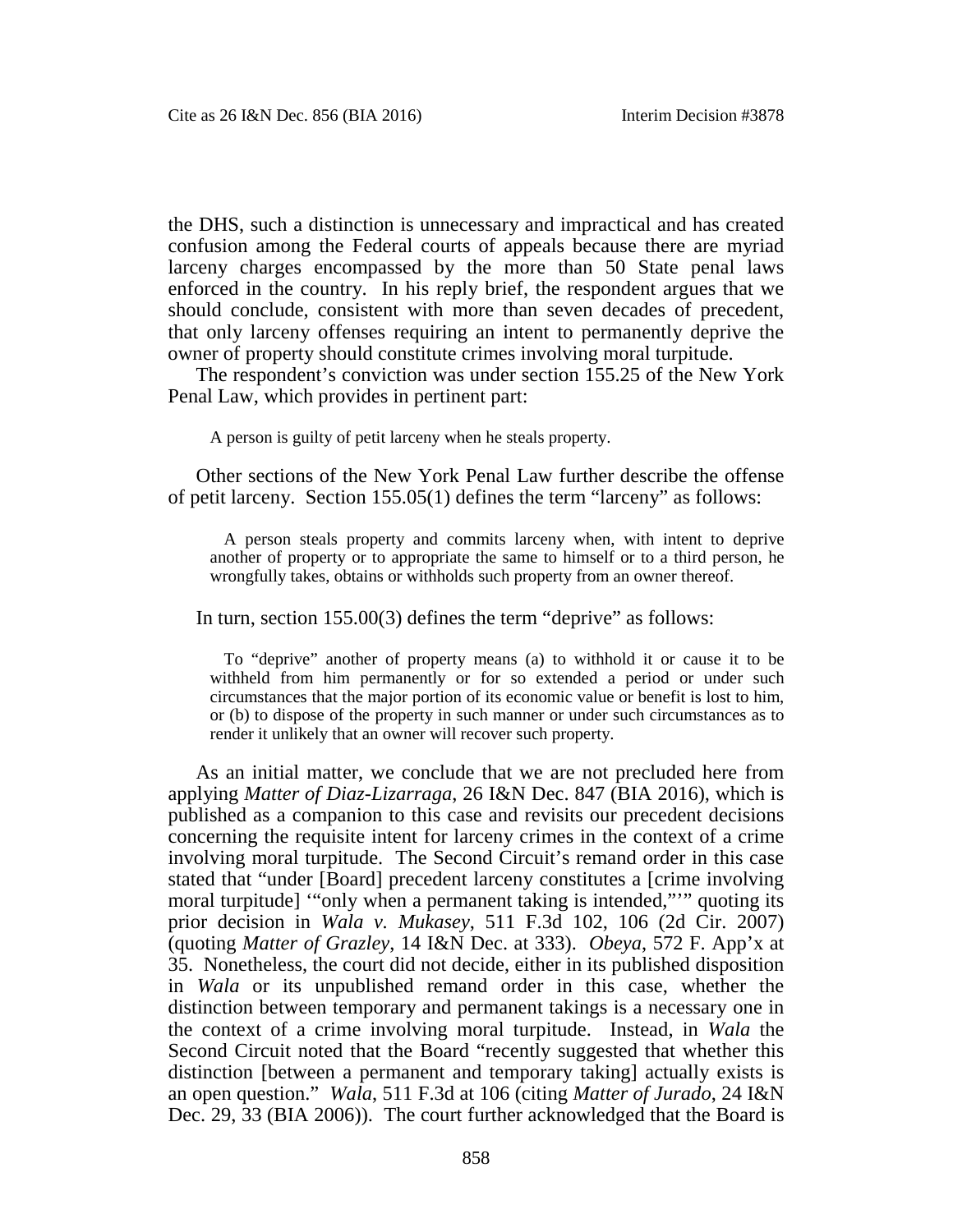the DHS, such a distinction is unnecessary and impractical and has created confusion among the Federal courts of appeals because there are myriad larceny charges encompassed by the more than 50 State penal laws enforced in the country. In his reply brief, the respondent argues that we should conclude, consistent with more than seven decades of precedent, that only larceny offenses requiring an intent to permanently deprive the owner of property should constitute crimes involving moral turpitude.

The respondent's conviction was under section 155.25 of the New York Penal Law, which provides in pertinent part:

A person is guilty of petit larceny when he steals property.

Other sections of the New York Penal Law further describe the offense of petit larceny. Section 155.05(1) defines the term "larceny" as follows:

A person steals property and commits larceny when, with intent to deprive another of property or to appropriate the same to himself or to a third person, he wrongfully takes, obtains or withholds such property from an owner thereof.

In turn, section 155.00(3) defines the term "deprive" as follows:

To "deprive" another of property means (a) to withhold it or cause it to be withheld from him permanently or for so extended a period or under such circumstances that the major portion of its economic value or benefit is lost to him, or (b) to dispose of the property in such manner or under such circumstances as to render it unlikely that an owner will recover such property.

As an initial matter, we conclude that we are not precluded here from applying *Matter of Diaz-Lizarraga*, 26 I&N Dec. 847 (BIA 2016), which is published as a companion to this case and revisits our precedent decisions concerning the requisite intent for larceny crimes in the context of a crime involving moral turpitude. The Second Circuit's remand order in this case stated that "under [Board] precedent larceny constitutes a [crime involving moral turpitude] '"only when a permanent taking is intended,"'" quoting its prior decision in *Wala v. Mukasey*, 511 F.3d 102, 106 (2d Cir. 2007) (quoting *Matter of Grazley*, 14 I&N Dec. at 333). *Obeya*, 572 F. App'x at 35. Nonetheless, the court did not decide, either in its published disposition in *Wala* or its unpublished remand order in this case, whether the distinction between temporary and permanent takings is a necessary one in the context of a crime involving moral turpitude. Instead, in *Wala* the Second Circuit noted that the Board "recently suggested that whether this distinction [between a permanent and temporary taking] actually exists is an open question." *Wala*, 511 F.3d at 106 (citing *Matter of Jurado*, 24 I&N Dec. 29, 33 (BIA 2006)). The court further acknowledged that the Board is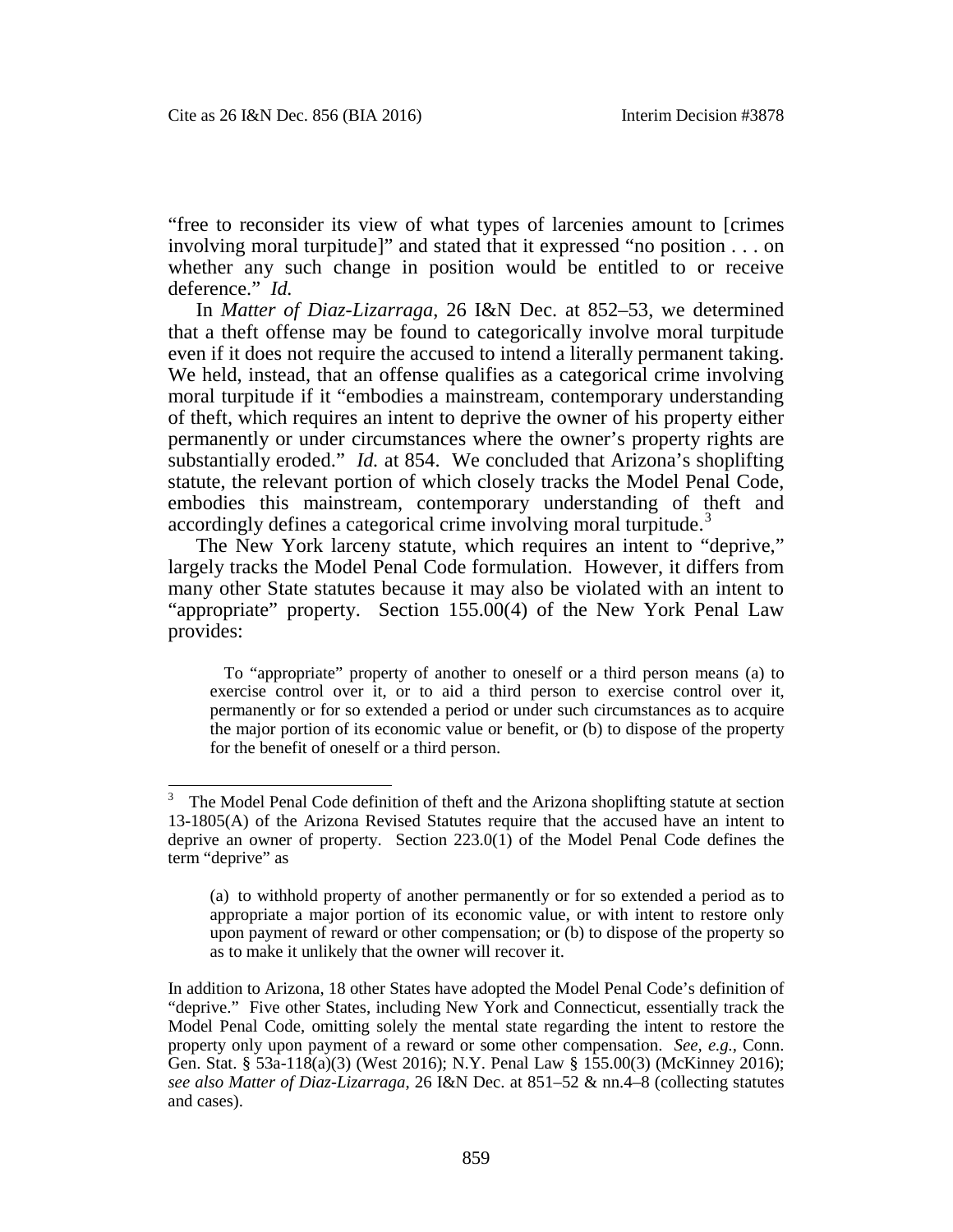"free to reconsider its view of what types of larcenies amount to [crimes involving moral turpitude]" and stated that it expressed "no position . . . on whether any such change in position would be entitled to or receive deference." *Id.*

In *Matter of Diaz-Lizarraga*, 26 I&N Dec. at 852–53, we determined that a theft offense may be found to categorically involve moral turpitude even if it does not require the accused to intend a literally permanent taking. We held, instead, that an offense qualifies as a categorical crime involving moral turpitude if it "embodies a mainstream, contemporary understanding of theft, which requires an intent to deprive the owner of his property either permanently or under circumstances where the owner's property rights are substantially eroded." *Id.* at 854. We concluded that Arizona's shoplifting statute, the relevant portion of which closely tracks the Model Penal Code, embodies this mainstream, contemporary understanding of theft and accordingly defines a categorical crime involving moral turpitude.<sup>[3](#page-3-0)</sup>

The New York larceny statute, which requires an intent to "deprive," largely tracks the Model Penal Code formulation. However, it differs from many other State statutes because it may also be violated with an intent to "appropriate" property. Section 155.00(4) of the New York Penal Law provides:

To "appropriate" property of another to oneself or a third person means (a) to exercise control over it, or to aid a third person to exercise control over it, permanently or for so extended a period or under such circumstances as to acquire the major portion of its economic value or benefit, or (b) to dispose of the property for the benefit of oneself or a third person.

<span id="page-3-0"></span> <sup>3</sup> The Model Penal Code definition of theft and the Arizona shoplifting statute at section 13-1805(A) of the Arizona Revised Statutes require that the accused have an intent to deprive an owner of property. Section 223.0(1) of the Model Penal Code defines the term "deprive" as

<sup>(</sup>a) to withhold property of another permanently or for so extended a period as to appropriate a major portion of its economic value, or with intent to restore only upon payment of reward or other compensation; or (b) to dispose of the property so as to make it unlikely that the owner will recover it.

In addition to Arizona, 18 other States have adopted the Model Penal Code's definition of "deprive." Five other States, including New York and Connecticut, essentially track the Model Penal Code, omitting solely the mental state regarding the intent to restore the property only upon payment of a reward or some other compensation. *See, e.g.*, Conn. Gen. Stat. § 53a-118(a)(3) (West 2016); N.Y. Penal Law § 155.00(3) (McKinney 2016); *see also Matter of Diaz-Lizarraga*, 26 I&N Dec. at 851–52 & nn.4–8 (collecting statutes and cases).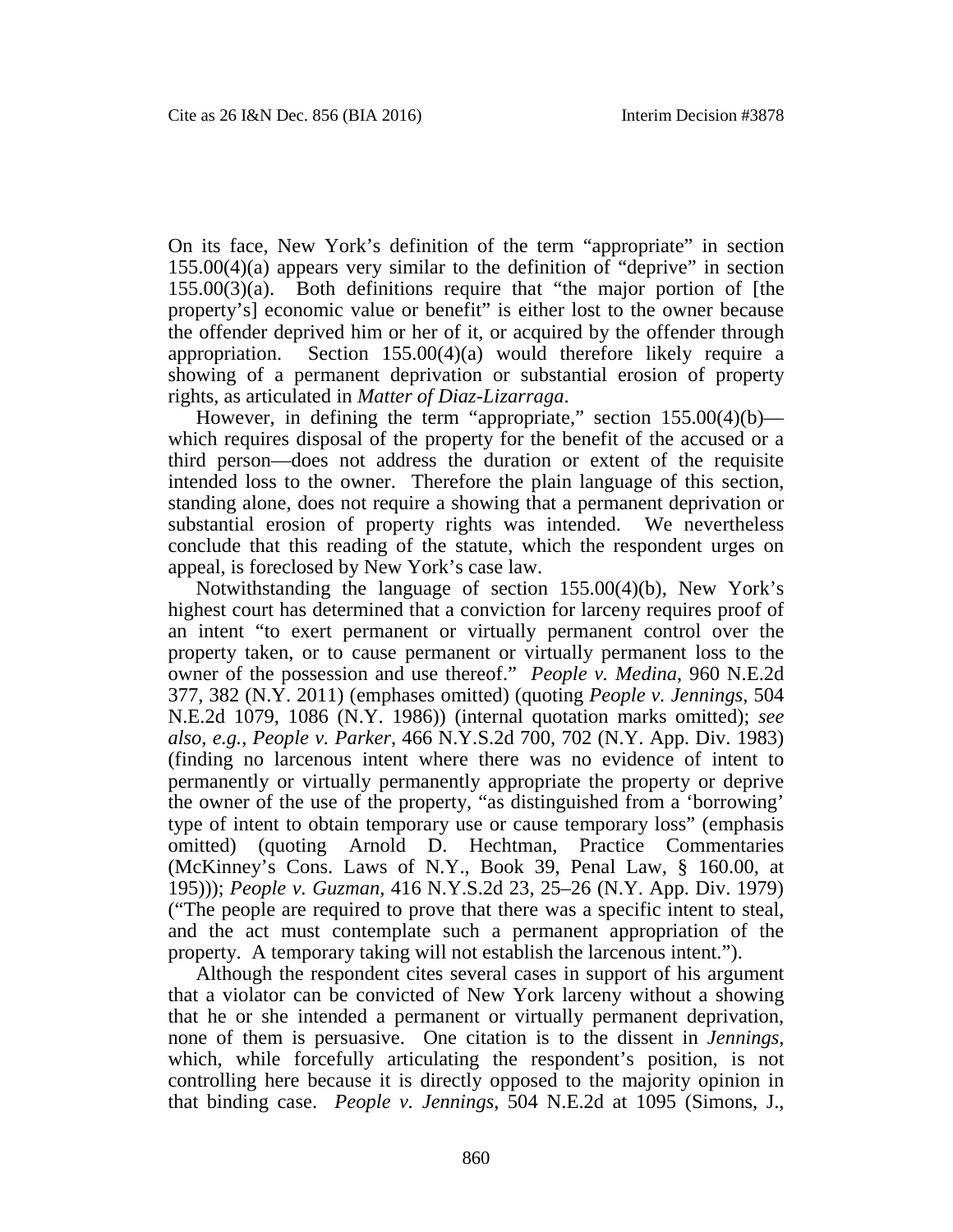On its face, New York's definition of the term "appropriate" in section 155.00(4)(a) appears very similar to the definition of "deprive" in section 155.00(3)(a). Both definitions require that "the major portion of [the property's] economic value or benefit" is either lost to the owner because the offender deprived him or her of it, or acquired by the offender through appropriation. Section 155.00(4)(a) would therefore likely require a showing of a permanent deprivation or substantial erosion of property rights, as articulated in *Matter of Diaz-Lizarraga*.

However, in defining the term "appropriate," section  $155.00(4)(b)$  which requires disposal of the property for the benefit of the accused or a third person—does not address the duration or extent of the requisite intended loss to the owner. Therefore the plain language of this section, standing alone, does not require a showing that a permanent deprivation or substantial erosion of property rights was intended. We nevertheless conclude that this reading of the statute, which the respondent urges on appeal, is foreclosed by New York's case law.

Notwithstanding the language of section 155.00(4)(b), New York's highest court has determined that a conviction for larceny requires proof of an intent "to exert permanent or virtually permanent control over the property taken, or to cause permanent or virtually permanent loss to the owner of the possession and use thereof." *People v. Medina*, 960 N.E.2d 377, 382 (N.Y. 2011) (emphases omitted) (quoting *People v. Jennings*, 504 N.E.2d 1079, 1086 (N.Y. 1986)) (internal quotation marks omitted); *see also, e.g.*, *People v. Parker*, 466 N.Y.S.2d 700, 702 (N.Y. App. Div. 1983) (finding no larcenous intent where there was no evidence of intent to permanently or virtually permanently appropriate the property or deprive the owner of the use of the property, "as distinguished from a 'borrowing' type of intent to obtain temporary use or cause temporary loss" (emphasis omitted) (quoting Arnold D. Hechtman, Practice Commentaries (McKinney's Cons. Laws of N.Y., Book 39, Penal Law, § 160.00, at 195))); *People v. Guzman*, 416 N.Y.S.2d 23, 25–26 (N.Y. App. Div. 1979) ("The people are required to prove that there was a specific intent to steal, and the act must contemplate such a permanent appropriation of the property. A temporary taking will not establish the larcenous intent.").

Although the respondent cites several cases in support of his argument that a violator can be convicted of New York larceny without a showing that he or she intended a permanent or virtually permanent deprivation, none of them is persuasive. One citation is to the dissent in *Jennings*, which, while forcefully articulating the respondent's position, is not controlling here because it is directly opposed to the majority opinion in that binding case. *People v. Jennings*, 504 N.E.2d at 1095 (Simons, J.,